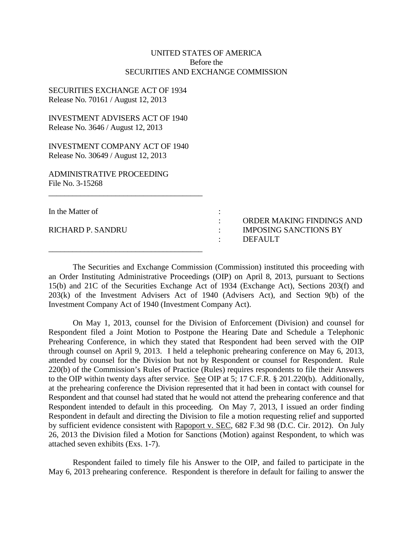# UNITED STATES OF AMERICA Before the SECURITIES AND EXCHANGE COMMISSION

## SECURITIES EXCHANGE ACT OF 1934 Release No. 70161 / August 12, 2013

INVESTMENT ADVISERS ACT OF 1940 Release No. 3646 / August 12, 2013

INVESTMENT COMPANY ACT OF 1940 Release No. 30649 / August 12, 2013

 $\overline{\phantom{a}}$  , where the contract of the contract of the contract of the contract of the contract of the contract of the contract of the contract of the contract of the contract of the contract of the contract of the contr

 $\overline{\phantom{a}}$  , where  $\overline{\phantom{a}}$  , where  $\overline{\phantom{a}}$  ,  $\overline{\phantom{a}}$  ,  $\overline{\phantom{a}}$  ,  $\overline{\phantom{a}}$  ,  $\overline{\phantom{a}}$  ,  $\overline{\phantom{a}}$  ,  $\overline{\phantom{a}}$  ,  $\overline{\phantom{a}}$  ,  $\overline{\phantom{a}}$  ,  $\overline{\phantom{a}}$  ,  $\overline{\phantom{a}}$  ,  $\overline{\phantom{a}}$  ,  $\overline{\phantom{a}}$  ,

ADMINISTRATIVE PROCEEDING File No. 3-15268

| In the Matter of         |  |
|--------------------------|--|
| <b>RICHARD P. SANDRU</b> |  |

 : ORDER MAKING FINDINGS AND IMPOSING SANCTIONS BY : DEFAULT

The Securities and Exchange Commission (Commission) instituted this proceeding with an Order Instituting Administrative Proceedings (OIP) on April 8, 2013, pursuant to Sections 15(b) and 21C of the Securities Exchange Act of 1934 (Exchange Act), Sections 203(f) and 203(k) of the Investment Advisers Act of 1940 (Advisers Act), and Section 9(b) of the Investment Company Act of 1940 (Investment Company Act).

On May 1, 2013, counsel for the Division of Enforcement (Division) and counsel for Respondent filed a Joint Motion to Postpone the Hearing Date and Schedule a Telephonic Prehearing Conference, in which they stated that Respondent had been served with the OIP through counsel on April 9, 2013. I held a telephonic prehearing conference on May 6, 2013, attended by counsel for the Division but not by Respondent or counsel for Respondent. Rule 220(b) of the Commission's Rules of Practice (Rules) requires respondents to file their Answers to the OIP within twenty days after service. See OIP at 5; 17 C.F.R. § 201.220(b). Additionally, at the prehearing conference the Division represented that it had been in contact with counsel for Respondent and that counsel had stated that he would not attend the prehearing conference and that Respondent intended to default in this proceeding. On May 7, 2013, I issued an order finding Respondent in default and directing the Division to file a motion requesting relief and supported by sufficient evidence consistent with Rapoport v. SEC, 682 F.3d 98 (D.C. Cir. 2012). On July 26, 2013 the Division filed a Motion for Sanctions (Motion) against Respondent, to which was attached seven exhibits (Exs. 1-7).

Respondent failed to timely file his Answer to the OIP, and failed to participate in the May 6, 2013 prehearing conference. Respondent is therefore in default for failing to answer the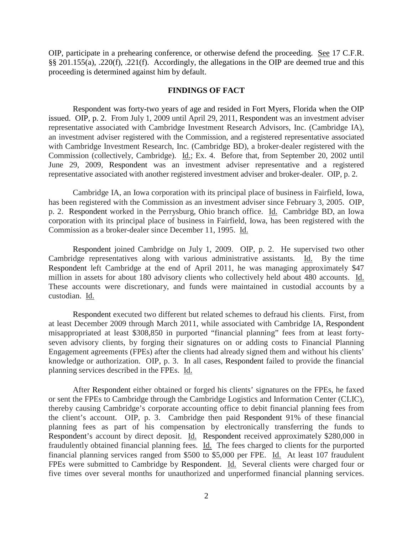OIP, participate in a prehearing conference, or otherwise defend the proceeding. See 17 C.F.R. §§ 201.155(a), .220(f), .221(f). Accordingly, the allegations in the OIP are deemed true and this proceeding is determined against him by default.

### **FINDINGS OF FACT**

Respondent was forty-two years of age and resided in Fort Myers, Florida when the OIP issued. OIP, p. 2. From July 1, 2009 until April 29, 2011, Respondent was an investment adviser representative associated with Cambridge Investment Research Advisors, Inc. (Cambridge IA), an investment adviser registered with the Commission, and a registered representative associated with Cambridge Investment Research, Inc. (Cambridge BD), a broker-dealer registered with the Commission (collectively, Cambridge). Id.; Ex. 4. Before that, from September 20, 2002 until June 29, 2009, Respondent was an investment adviser representative and a registered representative associated with another registered investment adviser and broker-dealer. OIP, p. 2.

Cambridge IA, an Iowa corporation with its principal place of business in Fairfield, Iowa, has been registered with the Commission as an investment adviser since February 3, 2005. OIP, p. 2. Respondent worked in the Perrysburg, Ohio branch office. Id. Cambridge BD, an Iowa corporation with its principal place of business in Fairfield, Iowa, has been registered with the Commission as a broker-dealer since December 11, 1995. Id.

Respondent joined Cambridge on July 1, 2009. OIP, p. 2. He supervised two other Cambridge representatives along with various administrative assistants. Id. By the time Respondent left Cambridge at the end of April 2011, he was managing approximately \$47 million in assets for about 180 advisory clients who collectively held about 480 accounts. Id. These accounts were discretionary, and funds were maintained in custodial accounts by a custodian. Id.

Respondent executed two different but related schemes to defraud his clients. First, from at least December 2009 through March 2011, while associated with Cambridge IA, Respondent misappropriated at least \$308,850 in purported "financial planning" fees from at least fortyseven advisory clients, by forging their signatures on or adding costs to Financial Planning Engagement agreements (FPEs) after the clients had already signed them and without his clients' knowledge or authorization. OIP, p. 3. In all cases, Respondent failed to provide the financial planning services described in the FPEs. Id.

After Respondent either obtained or forged his clients' signatures on the FPEs, he faxed or sent the FPEs to Cambridge through the Cambridge Logistics and Information Center (CLIC), thereby causing Cambridge's corporate accounting office to debit financial planning fees from the client's account. OIP, p. 3. Cambridge then paid Respondent 91% of these financial planning fees as part of his compensation by electronically transferring the funds to Respondent's account by direct deposit. Id. Respondent received approximately \$280,000 in fraudulently obtained financial planning fees. Id. The fees charged to clients for the purported financial planning services ranged from \$500 to \$5,000 per FPE. Id. At least 107 fraudulent FPEs were submitted to Cambridge by Respondent. Id. Several clients were charged four or five times over several months for unauthorized and unperformed financial planning services.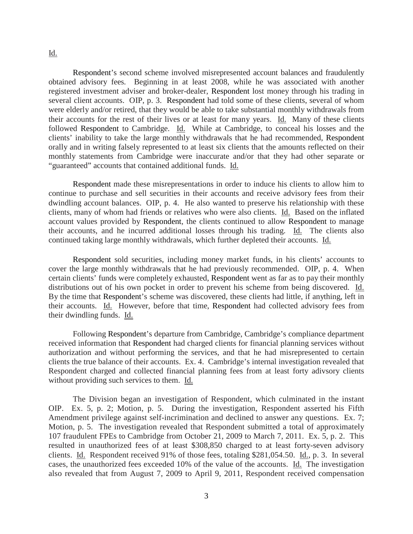#### Id.

Respondent's second scheme involved misrepresented account balances and fraudulently obtained advisory fees. Beginning in at least 2008, while he was associated with another registered investment adviser and broker-dealer, Respondent lost money through his trading in several client accounts. OIP, p. 3. Respondent had told some of these clients, several of whom were elderly and/or retired, that they would be able to take substantial monthly withdrawals from their accounts for the rest of their lives or at least for many years. Id. Many of these clients followed Respondent to Cambridge. Id. While at Cambridge, to conceal his losses and the clients' inability to take the large monthly withdrawals that he had recommended, Respondent orally and in writing falsely represented to at least six clients that the amounts reflected on their monthly statements from Cambridge were inaccurate and/or that they had other separate or "guaranteed" accounts that contained additional funds. Id.

Respondent made these misrepresentations in order to induce his clients to allow him to continue to purchase and sell securities in their accounts and receive advisory fees from their dwindling account balances. OIP, p. 4. He also wanted to preserve his relationship with these clients, many of whom had friends or relatives who were also clients. Id. Based on the inflated account values provided by Respondent, the clients continued to allow Respondent to manage their accounts, and he incurred additional losses through his trading. Id. The clients also continued taking large monthly withdrawals, which further depleted their accounts. Id.

Respondent sold securities, including money market funds, in his clients' accounts to cover the large monthly withdrawals that he had previously recommended. OIP, p. 4. When certain clients' funds were completely exhausted, Respondent went as far as to pay their monthly distributions out of his own pocket in order to prevent his scheme from being discovered. Id. By the time that Respondent's scheme was discovered, these clients had little, if anything, left in their accounts. Id. However, before that time, Respondent had collected advisory fees from their dwindling funds. Id.

Following Respondent's departure from Cambridge, Cambridge's compliance department received information that Respondent had charged clients for financial planning services without authorization and without performing the services, and that he had misrepresented to certain clients the true balance of their accounts. Ex. 4. Cambridge's internal investigation revealed that Respondent charged and collected financial planning fees from at least forty adivsory clients without providing such services to them. Id.

The Division began an investigation of Respondent, which culminated in the instant OIP. Ex. 5, p. 2; Motion, p. 5. During the investigation, Respondent asserted his Fifth Amendment privilege against self-incrimination and declined to answer any questions. Ex. 7; Motion, p. 5. The investigation revealed that Respondent submitted a total of approximately 107 fraudulent FPEs to Cambridge from October 21, 2009 to March 7, 2011. Ex. 5, p. 2. This resulted in unauthorized fees of at least \$308,850 charged to at least forty-seven advisory clients. Id. Respondent received 91% of those fees, totaling \$281,054.50. Id., p. 3. In several cases, the unauthorized fees exceeded 10% of the value of the accounts. Id. The investigation also revealed that from August 7, 2009 to April 9, 2011, Respondent received compensation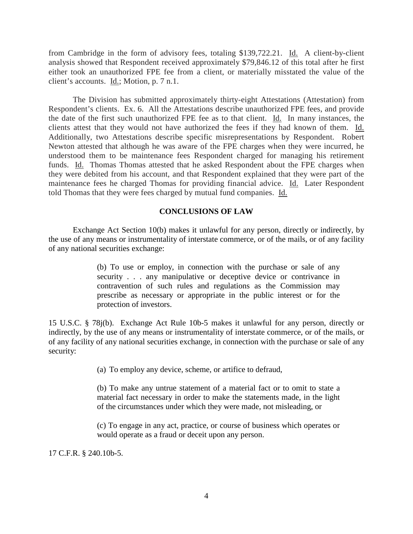from Cambridge in the form of advisory fees, totaling \$139,722.21. Id. A client-by-client analysis showed that Respondent received approximately \$79,846.12 of this total after he first either took an unauthorized FPE fee from a client, or materially misstated the value of the client's accounts. Id.; Motion, p. 7 n.1.

The Division has submitted approximately thirty-eight Attestations (Attestation) from Respondent's clients. Ex. 6. All the Attestations describe unauthorized FPE fees, and provide the date of the first such unauthorized FPE fee as to that client. Id. In many instances, the clients attest that they would not have authorized the fees if they had known of them. Id. Additionally, two Attestations describe specific misrepresentations by Respondent. Robert Newton attested that although he was aware of the FPE charges when they were incurred, he understood them to be maintenance fees Respondent charged for managing his retirement funds. Id. Thomas Thomas attested that he asked Respondent about the FPE charges when they were debited from his account, and that Respondent explained that they were part of the maintenance fees he charged Thomas for providing financial advice. Id. Later Respondent told Thomas that they were fees charged by mutual fund companies. Id.

# **CONCLUSIONS OF LAW**

Exchange Act Section 10(b) makes it unlawful for any person, directly or indirectly, by the use of any means or instrumentality of interstate commerce, or of the mails, or of any facility of any national securities exchange:

> (b) To use or employ, in connection with the purchase or sale of any security . . . any manipulative or deceptive device or contrivance in contravention of such rules and regulations as the Commission may prescribe as necessary or appropriate in the public interest or for the protection of investors.

15 U.S.C. § 78j(b). Exchange Act Rule 10b-5 makes it unlawful for any person, directly or indirectly, by the use of any means or instrumentality of interstate commerce, or of the mails, or of any facility of any national securities exchange, in connection with the purchase or sale of any security:

(a) To employ any device, scheme, or artifice to defraud,

(b) To make any untrue statement of a material fact or to omit to state a material fact necessary in order to make the statements made, in the light of the circumstances under which they were made, not misleading, or

(c) To engage in any act, practice, or course of business which operates or would operate as a fraud or deceit upon any person.

17 C.F.R. § 240.10b-5.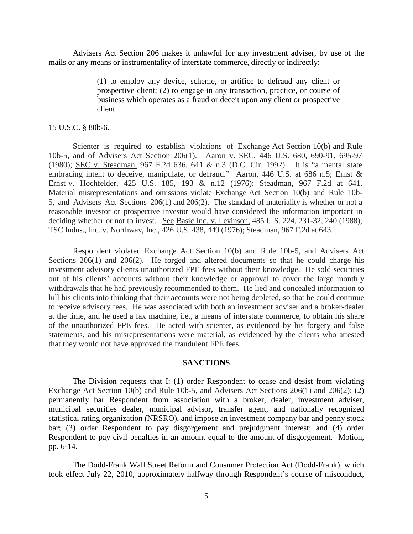Advisers Act Section 206 makes it unlawful for any investment adviser, by use of the mails or any means or instrumentality of interstate commerce, directly or indirectly:

> (1) to employ any device, scheme, or artifice to defraud any client or prospective client; (2) to engage in any transaction, practice, or course of business which operates as a fraud or deceit upon any client or prospective client.

15 U.S.C. § 80b-6.

Scienter is required to establish violations of Exchange Act Section 10(b) and Rule 10b-5, and of Advisers Act Section 206(1). Aaron v. SEC, 446 U.S. 680, 690-91, 695-97 (1980); SEC v. Steadman, 967 F.2d 636, 641 & n.3 (D.C. Cir. 1992). It is "a mental state embracing intent to deceive, manipulate, or defraud." Aaron, 446 U.S. at 686 n.5; Ernst & Ernst v. Hochfelder, 425 U.S. 185, 193 & n.12 (1976); Steadman, 967 F.2d at 641. Material misrepresentations and omissions violate Exchange Act Section 10(b) and Rule 10b-5, and Advisers Act Sections 206(1) and 206(2). The standard of materiality is whether or not a reasonable investor or prospective investor would have considered the information important in deciding whether or not to invest. See Basic Inc. v. Levinson, 485 U.S. 224, 231-32, 240 (1988); TSC Indus., Inc. v. Northway, Inc., 426 U.S. 438, 449 (1976); Steadman, 967 F.2d at 643.

Respondent violated Exchange Act Section 10(b) and Rule 10b-5, and Advisers Act Sections 206(1) and 206(2). He forged and altered documents so that he could charge his investment advisory clients unauthorized FPE fees without their knowledge. He sold securities out of his clients' accounts without their knowledge or approval to cover the large monthly withdrawals that he had previously recommended to them. He lied and concealed information to lull his clients into thinking that their accounts were not being depleted, so that he could continue to receive advisory fees. He was associated with both an investment adviser and a broker-dealer at the time, and he used a fax machine, i.e., a means of interstate commerce, to obtain his share of the unauthorized FPE fees. He acted with scienter, as evidenced by his forgery and false statements, and his misrepresentations were material, as evidenced by the clients who attested that they would not have approved the fraudulent FPE fees.

### **SANCTIONS**

The Division requests that I: (1) order Respondent to cease and desist from violating Exchange Act Section 10(b) and Rule 10b-5, and Advisers Act Sections 206(1) and 206(2); (2) permanently bar Respondent from association with a broker, dealer, investment adviser, municipal securities dealer, municipal advisor, transfer agent, and nationally recognized statistical rating organization (NRSRO), and impose an investment company bar and penny stock bar; (3) order Respondent to pay disgorgement and prejudgment interest; and (4) order Respondent to pay civil penalties in an amount equal to the amount of disgorgement. Motion, pp. 6-14.

The Dodd-Frank Wall Street Reform and Consumer Protection Act (Dodd-Frank), which took effect July 22, 2010, approximately halfway through Respondent's course of misconduct,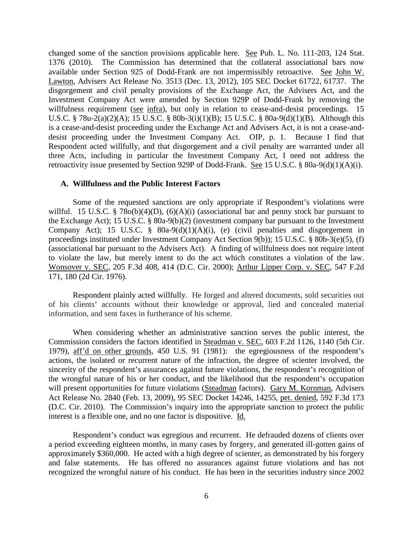changed some of the sanction provisions applicable here. See Pub. L. No. 111-203, 124 Stat. 1376 (2010). The Commission has determined that the collateral associational bars now available under Section 925 of Dodd-Frank are not impermissibly retroactive. See John W. Lawton, Advisers Act Release No. 3513 (Dec. 13, 2012), 105 SEC Docket 61722, 61737. The disgorgement and civil penalty provisions of the Exchange Act, the Advisers Act, and the Investment Company Act were amended by Section 929P of Dodd-Frank by removing the willfulness requirement (see infra), but only in relation to cease-and-desist proceedings. 15 U.S.C. § 78u-2(a)(2)(A); 15 U.S.C. § 80b-3(i)(1)(B); 15 U.S.C. § 80a-9(d)(1)(B). Although this is a cease-and-desist proceeding under the Exchange Act and Advisers Act, it is not a cease-anddesist proceeding under the Investment Company Act. OIP, p. 1. Because I find that Respondent acted willfully, and that disgorgement and a civil penalty are warranted under all three Acts, including in particular the Investment Company Act, I need not address the retroactivity issue presented by Section 929P of Dodd-Frank. See 15 U.S.C. § 80a-9(d)(1)(A)(i).

### **A. Willfulness and the Public Interest Factors**

Some of the requested sanctions are only appropriate if Respondent's violations were willful. 15 U.S.C. § 78o(b)(4)(D), (6)(A)(i) (associational bar and penny stock bar pursuant to the Exchange Act); 15 U.S.C. § 80a-9(b)(2) (investment company bar pursuant to the Investment Company Act); 15 U.S.C.  $\S$  80a-9(d)(1)(A)(i), (e) (civil penalties and disgorgement in proceedings instituted under Investment Company Act Section 9(b)); 15 U.S.C. § 80b-3(e)(5), (f) (associational bar pursuant to the Advisers Act). A finding of willfulness does not require intent to violate the law, but merely intent to do the act which constitutes a violation of the law. Wonsover v. SEC, 205 F.3d 408, 414 (D.C. Cir. 2000); Arthur Lipper Corp. v. SEC, 547 F.2d 171, 180 (2d Cir. 1976).

Respondent plainly acted willfully. He forged and altered documents, sold securities out of his clients' accounts without their knowledge or approval, lied and concealed material information, and sent faxes in furtherance of his scheme.

When considering whether an administrative sanction serves the public interest, the Commission considers the factors identified in Steadman v. SEC, 603 F.2d 1126, 1140 (5th Cir. 1979), aff'd on other grounds, 450 U.S. 91 (1981): the egregiousness of the respondent's actions, the isolated or recurrent nature of the infraction, the degree of scienter involved, the sincerity of the respondent's assurances against future violations, the respondent's recognition of the wrongful nature of his or her conduct, and the likelihood that the respondent's occupation will present opportunities for future violations (Steadman factors). Gary M. Kornman, Advisers Act Release No. 2840 (Feb. 13, 2009), 95 SEC Docket 14246, 14255, pet. denied, 592 F.3d 173 (D.C. Cir. 2010). The Commission's inquiry into the appropriate sanction to protect the public interest is a flexible one, and no one factor is dispositive. Id.

Respondent's conduct was egregious and recurrent. He defrauded dozens of clients over a period exceeding eighteen months, in many cases by forgery, and generated ill-gotten gains of approximately \$360,000. He acted with a high degree of scienter, as demonstrated by his forgery and false statements. He has offered no assurances against future violations and has not recognized the wrongful nature of his conduct. He has been in the securities industry since 2002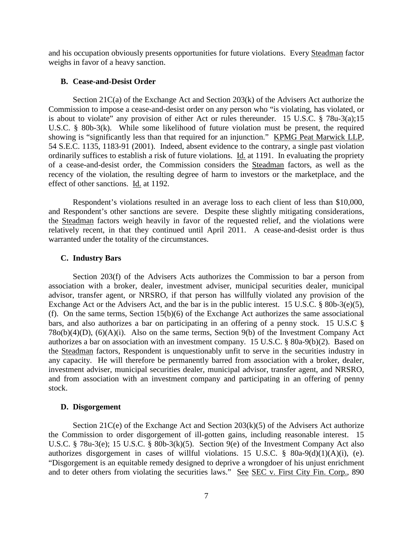and his occupation obviously presents opportunities for future violations. Every Steadman factor weighs in favor of a heavy sanction.

### **B. Cease-and-Desist Order**

Section 21C(a) of the Exchange Act and Section 203(k) of the Advisers Act authorize the Commission to impose a cease-and-desist order on any person who "is violating, has violated, or is about to violate" any provision of either Act or rules thereunder. 15 U.S.C. § 78u-3(a);15 U.S.C. § 80b-3(k). While some likelihood of future violation must be present, the required showing is "significantly less than that required for an injunction." KPMG Peat Marwick LLP, 54 S.E.C. 1135, 1183-91 (2001). Indeed, absent evidence to the contrary, a single past violation ordinarily suffices to establish a risk of future violations. Id. at 1191. In evaluating the propriety of a cease-and-desist order, the Commission considers the Steadman factors, as well as the recency of the violation, the resulting degree of harm to investors or the marketplace, and the effect of other sanctions. Id. at 1192.

Respondent's violations resulted in an average loss to each client of less than \$10,000, and Respondent's other sanctions are severe. Despite these slightly mitigating considerations, the Steadman factors weigh heavily in favor of the requested relief, and the violations were relatively recent, in that they continued until April 2011. A cease-and-desist order is thus warranted under the totality of the circumstances.

#### **C. Industry Bars**

Section 203(f) of the Advisers Acts authorizes the Commission to bar a person from association with a broker, dealer, investment adviser, municipal securities dealer, municipal advisor, transfer agent, or NRSRO, if that person has willfully violated any provision of the Exchange Act or the Advisers Act, and the bar is in the public interest. 15 U.S.C. § 80b-3(e)(5), (f). On the same terms, Section 15(b)(6) of the Exchange Act authorizes the same associational bars, and also authorizes a bar on participating in an offering of a penny stock. 15 U.S.C § 78o(b)(4)(D), (6)(A)(i). Also on the same terms, Section 9(b) of the Investment Company Act authorizes a bar on association with an investment company. 15 U.S.C. § 80a-9(b)(2). Based on the Steadman factors, Respondent is unquestionably unfit to serve in the securities industry in any capacity. He will therefore be permanently barred from association with a broker, dealer, investment adviser, municipal securities dealer, municipal advisor, transfer agent, and NRSRO, and from association with an investment company and participating in an offering of penny stock.

#### **D. Disgorgement**

Section  $21C(e)$  of the Exchange Act and Section  $203(k)(5)$  of the Advisers Act authorize the Commission to order disgorgement of ill-gotten gains, including reasonable interest. 15 U.S.C. § 78u-3(e); 15 U.S.C. § 80b-3(k)(5). Section 9(e) of the Investment Company Act also authorizes disgorgement in cases of willful violations. 15 U.S.C.  $\frac{8}{9}$  80a-9(d)(1)(A)(i), (e). "Disgorgement is an equitable remedy designed to deprive a wrongdoer of his unjust enrichment and to deter others from violating the securities laws." See SEC v. First City Fin. Corp., 890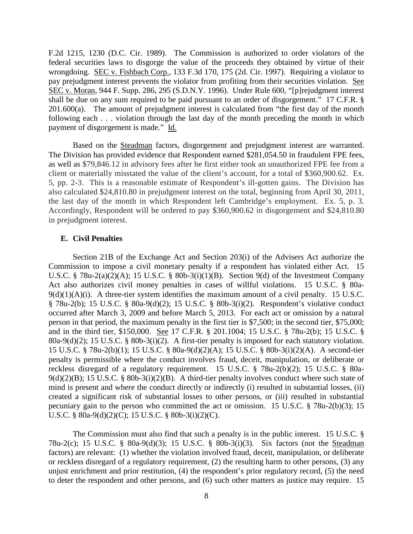F.2d 1215, 1230 (D.C. Cir. 1989). The Commission is authorized to order violators of the federal securities laws to disgorge the value of the proceeds they obtained by virtue of their wrongdoing. SEC v. Fishbach Corp., 133 F.3d 170, 175 (2d. Cir. 1997). Requiring a violator to pay prejudgment interest prevents the violator from profiting from their securities violation. See SEC v. Moran, 944 F. Supp. 286, 295 (S.D.N.Y. 1996). Under Rule 600, "[p]rejudgment interest shall be due on any sum required to be paid pursuant to an order of disgorgement." 17 C.F.R. §  $201.600(a)$ . The amount of prejudgment interest is calculated from "the first day of the month following each . . . violation through the last day of the month preceding the month in which payment of disgorgement is made." Id.

Based on the Steadman factors, disgorgement and prejudgment interest are warranted. The Division has provided evidence that Respondent earned \$281,054.50 in fraudulent FPE fees, as well as \$79,846.12 in advisory fees after he first either took an unauthorized FPE fee from a client or materially misstated the value of the client's account, for a total of \$360,900.62. Ex. 5, pp. 2-3. This is a reasonable estimate of Respondent's ill-gotten gains. The Division has also calculated \$24,810.80 in prejudgment interest on the total, beginning from April 30, 2011, the last day of the month in which Respondent left Cambridge's employment. Ex. 5, p. 3. Accordingly, Respondent will be ordered to pay \$360,900.62 in disgorgement and \$24,810.80 in prejudgment interest.

### **E. Civil Penalties**

Section 21B of the Exchange Act and Section 203(i) of the Advisers Act authorize the Commission to impose a civil monetary penalty if a respondent has violated either Act. 15 U.S.C. § 78u-2(a)(2)(A); 15 U.S.C. § 80b-3(i)(1)(B). Section 9(d) of the Investment Company Act also authorizes civil money penalties in cases of willful violations. 15 U.S.C. § 80a- $9(d)(1)(A)(i)$ . A three-tier system identifies the maximum amount of a civil penalty. 15 U.S.C. § 78u-2(b); 15 U.S.C. § 80a-9(d)(2); 15 U.S.C. § 80b-3(i)(2). Respondent's violative conduct occurred after March 3, 2009 and before March 5, 2013. For each act or omission by a natural person in that period, the maximum penalty in the first tier is \$7,500; in the second tier, \$75,000; and in the third tier, \$150,000. See 17 C.F.R. § 201.1004; 15 U.S.C. § 78u-2(b); 15 U.S.C. § 80a-9(d)(2); 15 U.S.C. § 80b-3(i)(2). A first-tier penalty is imposed for each statutory violation. 15 U.S.C. § 78u-2(b)(1); 15 U.S.C. § 80a-9(d)(2)(A); 15 U.S.C. § 80b-3(i)(2)(A). A second-tier penalty is permissible where the conduct involves fraud, deceit, manipulation, or deliberate or reckless disregard of a regulatory requirement. 15 U.S.C. § 78u-2(b)(2); 15 U.S.C. § 80a- $9(d)(2)(B)$ ; 15 U.S.C. § 80b-3(i)(2)(B). A third-tier penalty involves conduct where such state of mind is present and where the conduct directly or indirectly (i) resulted in substantial losses, (ii) created a significant risk of substantial losses to other persons, or (iii) resulted in substantial pecuniary gain to the person who committed the act or omission. 15 U.S.C. § 78u-2(b)(3); 15 U.S.C. § 80a-9(d)(2)(C); 15 U.S.C. § 80b-3(i)(2)(C).

The Commission must also find that such a penalty is in the public interest. 15 U.S.C. § 78u-2(c); 15 U.S.C. § 80a-9(d)(3); 15 U.S.C. § 80b-3(i)(3). Six factors (not the Steadman factors) are relevant: (1) whether the violation involved fraud, deceit, manipulation, or deliberate or reckless disregard of a regulatory requirement, (2) the resulting harm to other persons, (3) any unjust enrichment and prior restitution, (4) the respondent's prior regulatory record, (5) the need to deter the respondent and other persons, and (6) such other matters as justice may require. 15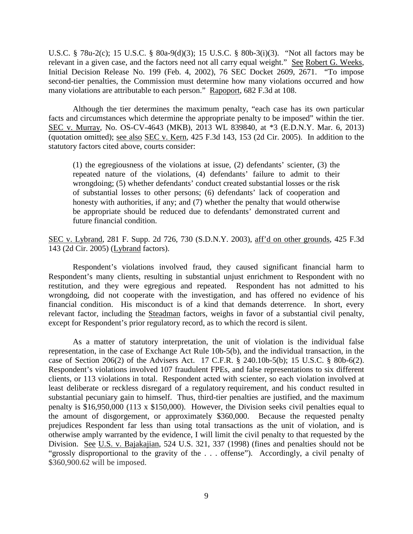U.S.C. § 78u-2(c); 15 U.S.C. § 80a-9(d)(3); 15 U.S.C. § 80b-3(i)(3). "Not all factors may be relevant in a given case, and the factors need not all carry equal weight." See Robert G. Weeks, Initial Decision Release No. 199 (Feb. 4, 2002), 76 SEC Docket 2609, 2671. "To impose second-tier penalties, the Commission must determine how many violations occurred and how many violations are attributable to each person." Rapoport, 682 F.3d at 108.

Although the tier determines the maximum penalty, "each case has its own particular facts and circumstances which determine the appropriate penalty to be imposed" within the tier. SEC v. Murray, No. OS-CV-4643 (MKB), 2013 WL 839840, at \*3 (E.D.N.Y. Mar. 6, 2013) (quotation omitted); see also SEC v. Kern, 425 F.3d 143, 153 (2d Cir. 2005). In addition to the statutory factors cited above, courts consider:

(1) the egregiousness of the violations at issue, (2) defendants' scienter, (3) the repeated nature of the violations, (4) defendants' failure to admit to their wrongdoing; (5) whether defendants' conduct created substantial losses or the risk of substantial losses to other persons; (6) defendants' lack of cooperation and honesty with authorities, if any; and (7) whether the penalty that would otherwise be appropriate should be reduced due to defendants' demonstrated current and future financial condition.

SEC v. Lybrand, 281 F. Supp. 2d 726, 730 (S.D.N.Y. 2003), aff'd on other grounds, 425 F.3d 143 (2d Cir. 2005) (Lybrand factors).

Respondent's violations involved fraud, they caused significant financial harm to Respondent's many clients, resulting in substantial unjust enrichment to Respondent with no restitution, and they were egregious and repeated. Respondent has not admitted to his wrongdoing, did not cooperate with the investigation, and has offered no evidence of his financial condition. His misconduct is of a kind that demands deterrence. In short, every relevant factor, including the Steadman factors, weighs in favor of a substantial civil penalty, except for Respondent's prior regulatory record, as to which the record is silent.

As a matter of statutory interpretation, the unit of violation is the individual false representation, in the case of Exchange Act Rule 10b-5(b), and the individual transaction, in the case of Section 206(2) of the Advisers Act. 17 C.F.R. § 240.10b-5(b); 15 U.S.C. § 80b-6(2). Respondent's violations involved 107 fraudulent FPEs, and false representations to six different clients, or 113 violations in total. Respondent acted with scienter, so each violation involved at least deliberate or reckless disregard of a regulatory requirement, and his conduct resulted in substantial pecuniary gain to himself. Thus, third-tier penalties are justified, and the maximum penalty is \$16,950,000 (113 x \$150,000). However, the Division seeks civil penalties equal to the amount of disgorgement, or approximately \$360,000. Because the requested penalty prejudices Respondent far less than using total transactions as the unit of violation, and is otherwise amply warranted by the evidence, I will limit the civil penalty to that requested by the Division. See U.S. v. Bajakajian, 524 U.S. 321, 337 (1998) (fines and penalties should not be "grossly disproportional to the gravity of the . . . offense"). Accordingly, a civil penalty of \$360,900.62 will be imposed.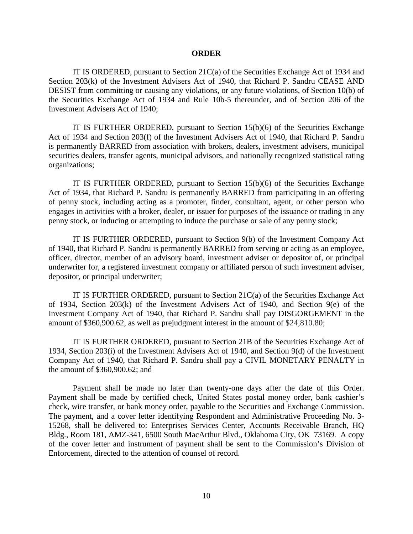#### **ORDER**

IT IS ORDERED, pursuant to Section  $21C(a)$  of the Securities Exchange Act of 1934 and Section 203(k) of the Investment Advisers Act of 1940, that Richard P. Sandru CEASE AND DESIST from committing or causing any violations, or any future violations, of Section 10(b) of the Securities Exchange Act of 1934 and Rule 10b-5 thereunder, and of Section 206 of the Investment Advisers Act of 1940;

IT IS FURTHER ORDERED, pursuant to Section  $15(b)(6)$  of the Securities Exchange Act of 1934 and Section 203(f) of the Investment Advisers Act of 1940, that Richard P. Sandru is permanently BARRED from association with brokers, dealers, investment advisers, municipal securities dealers, transfer agents, municipal advisors, and nationally recognized statistical rating organizations;

IT IS FURTHER ORDERED, pursuant to Section  $15(b)(6)$  of the Securities Exchange Act of 1934, that Richard P. Sandru is permanently BARRED from participating in an offering of penny stock, including acting as a promoter, finder, consultant, agent, or other person who engages in activities with a broker, dealer, or issuer for purposes of the issuance or trading in any penny stock, or inducing or attempting to induce the purchase or sale of any penny stock;

IT IS FURTHER ORDERED, pursuant to Section 9(b) of the Investment Company Act of 1940, that Richard P. Sandru is permanently BARRED from serving or acting as an employee, officer, director, member of an advisory board, investment adviser or depositor of, or principal underwriter for, a registered investment company or affiliated person of such investment adviser, depositor, or principal underwriter;

IT IS FURTHER ORDERED, pursuant to Section 21C(a) of the Securities Exchange Act of 1934, Section 203(k) of the Investment Advisers Act of 1940, and Section 9(e) of the Investment Company Act of 1940, that Richard P. Sandru shall pay DISGORGEMENT in the amount of \$360,900.62, as well as prejudgment interest in the amount of \$24,810.80;

IT IS FURTHER ORDERED, pursuant to Section 21B of the Securities Exchange Act of 1934, Section 203(i) of the Investment Advisers Act of 1940, and Section 9(d) of the Investment Company Act of 1940, that Richard P. Sandru shall pay a CIVIL MONETARY PENALTY in the amount of \$360,900.62; and

Payment shall be made no later than twenty-one days after the date of this Order. Payment shall be made by certified check, United States postal money order, bank cashier's check, wire transfer, or bank money order, payable to the Securities and Exchange Commission. The payment, and a cover letter identifying Respondent and Administrative Proceeding No. 3- 15268, shall be delivered to: Enterprises Services Center, Accounts Receivable Branch, HQ Bldg., Room 181, AMZ-341, 6500 South MacArthur Blvd., Oklahoma City, OK 73169. A copy of the cover letter and instrument of payment shall be sent to the Commission's Division of Enforcement, directed to the attention of counsel of record.